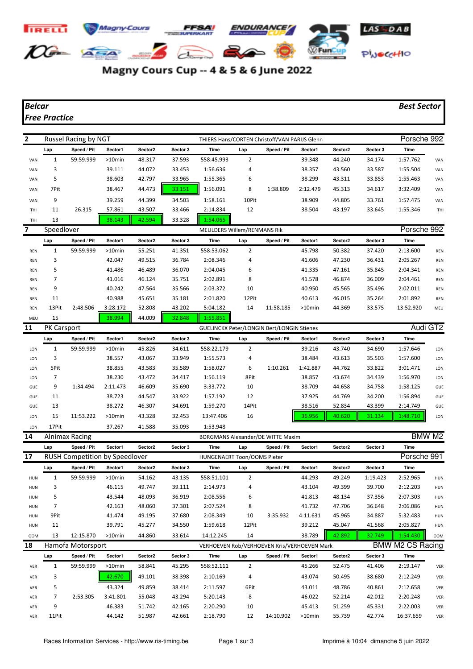

## Magny Cours Cup -- 4 & 5 & 6 June 2022

## *Belcar Best Sector*

## *Free Practice*

| $\mathbf{2}$ | Russel Racing by NGT<br>THIERS Hans/CORTEN Christoff/VAN PARIJS Glenn |                       |                                       |         |          |                                             |                |             |          | Porsche 992             |             |             |                   |
|--------------|-----------------------------------------------------------------------|-----------------------|---------------------------------------|---------|----------|---------------------------------------------|----------------|-------------|----------|-------------------------|-------------|-------------|-------------------|
|              | Lap                                                                   | Speed / Pit           | Sector1                               | Sector2 | Sector 3 | Time                                        | Lap            | Speed / Pit | Sector1  | Sector2                 | Sector 3    | Time        |                   |
| VAN          | 1                                                                     | 59:59.999             | >10min                                | 48.317  | 37.593   | 558:45.993                                  | $\overline{2}$ |             | 39.348   | 44.240                  | 34.174      | 1:57.762    | VAN               |
| VAN          | 3                                                                     |                       | 39.111                                | 44.072  | 33.453   | 1:56.636                                    | 4              |             | 38.357   | 43.560                  | 33.587      | 1:55.504    | VAN               |
| VAN          | 5                                                                     |                       | 38.603                                | 42.797  | 33.965   | 1:55.365                                    | 6              |             | 38.299   | 43.311                  | 33.853      | 1:55.463    | VAN               |
| VAN          | 7Pit                                                                  |                       | 38.467                                | 44.473  | 33.151   | 1:56.091                                    | 8              | 1:38.809    | 2:12.479 | 45.313                  | 34.617      | 3:32.409    | VAN               |
| VAN          | 9                                                                     |                       | 39.259                                | 44.399  | 34.503   | 1:58.161                                    | 10Pit          |             | 38.909   | 44.805                  | 33.761      | 1:57.475    | VAN               |
| THI          | 11                                                                    | 26.315                | 57.861                                | 43.507  | 33.466   | 2:14.834                                    | 12             |             | 38.504   | 43.197                  | 33.645      | 1:55.346    | THI               |
| THI          | 13                                                                    |                       | 38.143                                | 42.594  | 33.328   | 1:54.065                                    |                |             |          |                         |             |             |                   |
| 7            | Speedlover                                                            |                       |                                       |         |          | <b>MEULDERS Willem/RENMANS Rik</b>          |                |             |          |                         | Porsche 992 |             |                   |
|              | Lap                                                                   | Speed / Pit           | Sector1                               | Sector2 | Sector 3 | Time                                        | Lap            | Speed / Pit | Sector1  | Sector2                 | Sector 3    | Time        |                   |
| REN          | 1                                                                     | 59:59.999             | >10min                                | 55.251  | 41.351   | 558:53.062                                  | $\overline{2}$ |             | 45.798   | 50.382                  | 37.420      | 2:13.600    | <b>REN</b>        |
| <b>REN</b>   | 3                                                                     |                       | 42.047                                | 49.515  | 36.784   | 2:08.346                                    | 4              |             | 41.606   | 47.230                  | 36.431      | 2:05.267    | <b>REN</b>        |
| <b>REN</b>   | 5                                                                     |                       | 41.486                                | 46.489  | 36.070   | 2:04.045                                    | 6              |             | 41.335   | 47.161                  | 35.845      | 2:04.341    | <b>REN</b>        |
| <b>REN</b>   | 7                                                                     |                       | 41.016                                | 46.124  | 35.751   | 2:02.891                                    | 8              |             | 41.578   | 46.874                  | 36.009      | 2:04.461    | <b>REN</b>        |
| <b>REN</b>   | 9                                                                     |                       | 40.242                                | 47.564  | 35.566   | 2:03.372                                    | 10             |             | 40.950   | 45.565                  | 35.496      | 2:02.011    | <b>REN</b>        |
| <b>REN</b>   | 11                                                                    |                       | 40.988                                | 45.651  | 35.181   | 2:01.820                                    | 12Pit          |             | 40.613   | 46.015                  | 35.264      | 2:01.892    | <b>REN</b>        |
| <b>REN</b>   | 13Pit                                                                 | 2:48.506              | 3:28.172                              | 52.808  | 43.202   | 5:04.182                                    | 14             | 11:58.185   | >10min   | 44.369                  | 33.575      | 13:52.920   | MEU               |
| MEU          | 15                                                                    |                       | 38.994                                | 44.009  | 32.848   | 1:55.851                                    |                |             |          |                         |             |             |                   |
| 11           | <b>PK Carsport</b>                                                    |                       |                                       |         |          | GUELINCKX Peter/LONGIN Bert/LONGIN Stienes  |                | Audi GT2    |          |                         |             |             |                   |
|              | Lap                                                                   | Speed / Pit           | Sector1                               | Sector2 | Sector 3 | Time                                        | Lap            | Speed / Pit | Sector1  | Sector2                 | Sector 3    | Time        |                   |
| LON          | $\mathbf{1}$                                                          | 59:59.999             | $>10$ min                             | 45.826  | 34.611   | 558:22.179                                  | 2              |             | 39.216   | 43.740                  | 34.690      | 1:57.646    | LON               |
| LON          | 3                                                                     |                       | 38.557                                | 43.067  | 33.949   | 1:55.573                                    | 4              |             | 38.484   | 43.613                  | 35.503      | 1:57.600    | LON               |
| LON          | 5Pit                                                                  |                       | 38.855                                | 43.583  | 35.589   | 1:58.027                                    | 6              | 1:10.261    | 1:42.887 | 44.762                  | 33.822      | 3:01.471    | LON               |
| LON          | 7                                                                     |                       | 38.230                                | 43.472  | 34.417   | 1:56.119                                    | 8Pit           |             | 38.857   | 43.674                  | 34.439      | 1:56.970    | LON               |
| GUE          | 9                                                                     | 1:34.494              | 2:11.473                              | 46.609  | 35.690   | 3:33.772                                    | 10             |             | 38.709   | 44.658                  | 34.758      | 1:58.125    | GUE               |
| GUE          | 11                                                                    |                       | 38.723                                | 44.547  | 33.922   | 1:57.192                                    | 12             |             | 37.925   | 44.769                  | 34.200      | 1:56.894    | GUE               |
| GUE          | 13                                                                    |                       | 38.272                                | 46.307  | 34.691   | 1:59.270                                    | 14Pit          |             | 38.516   | 52.834                  | 43.399      | 2:14.749    | GUE               |
| LON          | 15                                                                    | 11:53.222             | $>10$ min                             | 43.328  | 32.453   | 13:47.406                                   | 16             |             | 36.956   | 40.620                  | 31.134      | 1:48.710    | LON               |
| LON          | 17Pit                                                                 |                       | 37.267                                | 41.588  | 35.093   | 1:53.948                                    |                |             |          |                         |             |             |                   |
| 14           |                                                                       | <b>Alnimax Racing</b> |                                       |         |          | BORGMANS Alexander/DE WITTE Maxim           |                |             |          |                         |             |             | BMW <sub>M2</sub> |
|              | Lap                                                                   | Speed / Pit           | Sector1                               | Sector2 | Sector 3 | Time                                        | Lap            | Speed / Pit | Sector1  | Sector2                 | Sector 3    | Time        |                   |
| 17           |                                                                       |                       | <b>RUSH Competition by Speedlover</b> |         |          | <b>HUNGENAERT Toon/OOMS Pieter</b>          |                |             |          |                         |             | Porsche 991 |                   |
|              | Lap                                                                   | Speed / Pit           | Sector1                               | Sector2 | Sector 3 | Time                                        | Lap            | Speed / Pit | Sector1  | Sector2                 | Sector 3    | Time        |                   |
| <b>HUN</b>   | 1                                                                     | 59:59.999             | $>10$ min                             | 54.162  | 43.135   | 558:51.101                                  | 2              |             | 44.293   | 49.249                  | 1:19.423    | 2:52.965    | HUN               |
| <b>HUN</b>   | 3                                                                     |                       | 46.115                                | 49.747  | 39.111   | 2:14.973                                    | 4              |             | 43.104   | 49.399                  | 39.700      | 2:12.203    | HUN               |
| <b>HUN</b>   | 5                                                                     |                       | 43.544                                | 48.093  | 36.919   | 2:08.556                                    | 6              |             | 41.813   | 48.134                  | 37.356      | 2:07.303    | HUN               |
| <b>HUN</b>   | 7                                                                     |                       | 42.163                                | 48.060  | 37.301   | 2:07.524                                    | 8              |             | 41.732   | 47.706                  | 36.648      | 2:06.086    | <b>HUN</b>        |
| <b>HUN</b>   | 9Pit                                                                  |                       | 41.474                                | 49.195  | 37.680   | 2:08.349                                    | 10             | 3:35.932    | 4:11.631 | 45.965                  | 34.887      | 5:32.483    | HUN               |
| HUN          | 11                                                                    |                       | 39.791                                | 45.277  | 34.550   | 1:59.618                                    | 12Pit          |             | 39.212   | 45.047                  | 41.568      | 2:05.827    | <b>HUN</b>        |
| <b>OOM</b>   | 13                                                                    | 12:15.870             | >10min                                | 44.860  | 33.614   | 14:12.245                                   | 14             |             | 38.789   | 42.892                  | 32.749      | 1:54.430    | <b>OOM</b>        |
| 18           | Hamofa Motorsport                                                     |                       |                                       |         |          | VERHOEVEN Rob/VERHOEVEN Kris/VERHOEVEN Mark |                |             |          | <b>BMW M2 CS Racing</b> |             |             |                   |
|              | Lap                                                                   | Speed / Pit           | Sector1                               | Sector2 | Sector 3 | Time                                        | Lap            | Speed / Pit | Sector1  | Sector2                 | Sector 3    | Time        |                   |
| VER          | $\mathbf{1}$                                                          | 59:59.999             | >10min                                | 58.841  | 45.295   | 558:52.111                                  | $\overline{2}$ |             | 45.266   | 52.475                  | 41.406      | 2:19.147    | VER               |
| VER          | 3                                                                     |                       | 42.670                                | 49.101  | 38.398   | 2:10.169                                    | 4              |             | 43.074   | 50.495                  | 38.680      | 2:12.249    | VER               |
| VER          | 5                                                                     |                       | 43.324                                | 49.859  | 38.414   | 2:11.597                                    | 6Pit           |             | 43.011   | 48.786                  | 40.861      | 2:12.658    | VER               |
| VER          | 7                                                                     | 2:53.305              | 3:41.801                              | 55.048  | 43.294   | 5:20.143                                    | 8              |             | 46.022   | 52.214                  | 42.012      | 2:20.248    | VER               |
| VER          | 9                                                                     |                       | 46.383                                | 51.742  | 42.165   | 2:20.290                                    | 10             |             | 45.413   | 51.259                  | 45.331      | 2:22.003    | VER               |
| VER          | 11Pit                                                                 |                       | 44.142                                | 51.987  | 42.661   | 2:18.790                                    | 12             | 14:10.902   | >10min   | 55.739                  | 42.774      | 16:37.659   | VER               |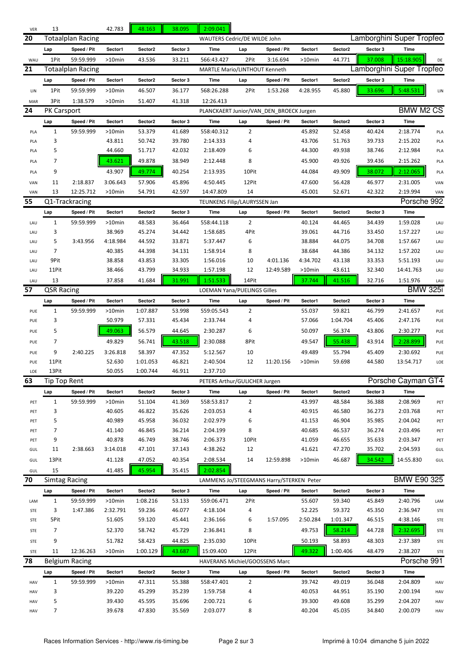| VER | 13                                                                                                                           |                   | 42.783    | 48.163   | 38.095   | 2:09.041                                 |                              |             |           |          |          |                           |     |  |  |
|-----|------------------------------------------------------------------------------------------------------------------------------|-------------------|-----------|----------|----------|------------------------------------------|------------------------------|-------------|-----------|----------|----------|---------------------------|-----|--|--|
| 20  | <b>Totaalplan Racing</b>                                                                                                     |                   |           |          |          |                                          | WAUTERS Cedric/DE WILDE John |             |           |          |          | Lamborghini Super Tropfeo |     |  |  |
|     | Lap                                                                                                                          | Speed / Pit       | Sector1   | Sector2  | Sector 3 | Time                                     | Lap                          | Speed / Pit | Sector1   | Sector2  | Sector 3 | Time                      |     |  |  |
| WAU | 1Pit                                                                                                                         | 59:59.999         | $>10$ min | 43.536   | 33.211   | 566:43.427                               | 2Pit                         | 3:16.694    | $>10$ min | 44.771   | 37.008   | 15:18.905                 | DE  |  |  |
| 21  |                                                                                                                              | Totaalplan Racing |           |          |          | <b>MARTLE Mario/LINTHOUT Kenneth</b>     |                              |             |           |          |          | Lamborghini Super Tropfeo |     |  |  |
|     | Lap                                                                                                                          | Speed / Pit       | Sector1   | Sector2  | Sector 3 | Time                                     | Lap                          | Speed / Pit | Sector1   | Sector2  | Sector 3 | Time                      |     |  |  |
| LIN | 1Pit                                                                                                                         | 59:59.999         | $>10$ min | 46.507   | 36.177   | 568:26.288                               | 2Pit                         | 1:53.268    | 4:28.955  | 45.880   | 33.696   | 5:48.531                  | LIN |  |  |
| MAR | 3Pit                                                                                                                         | 1:38.579          | >10min    | 51.407   | 41.318   | 12:26.413                                |                              |             |           |          |          |                           |     |  |  |
| 24  | <b>PK Carsport</b>                                                                                                           |                   |           |          |          | PLANCKAERT Junior/VAN DEN BROECK Jurgen  |                              |             |           |          |          | <b>BMW M2 CS</b>          |     |  |  |
|     | Lap                                                                                                                          | Speed / Pit       | Sector1   | Sector2  | Sector 3 | Time                                     | Lap                          | Speed / Pit | Sector1   | Sector2  | Sector 3 | <b>Time</b>               |     |  |  |
| PLA | $\mathbf{1}$                                                                                                                 | 59:59.999         | >10min    | 53.379   | 41.689   | 558:40.312                               | $\overline{2}$               |             | 45.892    | 52.458   | 40.424   | 2:18.774                  | PLA |  |  |
| PLA | 3                                                                                                                            |                   | 43.811    | 50.742   | 39.780   | 2:14.333                                 | 4                            |             | 43.706    | 51.763   | 39.733   | 2:15.202                  | PLA |  |  |
| PLA | 5                                                                                                                            |                   | 44.660    | 51.717   | 42.032   | 2:18.409                                 | 6                            |             | 44.300    | 49.938   | 38.746   | 2:12.984                  | PLA |  |  |
| PLA | 7                                                                                                                            |                   | 43.621    | 49.878   | 38.949   | 2:12.448                                 | 8                            |             | 45.900    | 49.926   | 39.436   | 2:15.262                  | PLA |  |  |
|     |                                                                                                                              |                   |           |          |          |                                          |                              |             |           |          |          |                           |     |  |  |
| PLA | 9                                                                                                                            |                   | 43.907    | 49.774   | 40.254   | 2:13.935                                 | 10Pit                        |             | 44.084    | 49.909   | 38.072   | 2:12.065                  | PLA |  |  |
| VAN | 11                                                                                                                           | 2:18.837          | 3:06.643  | 57.906   | 45.896   | 4:50.445                                 | 12Pit                        |             | 47.600    | 56.428   | 46.977   | 2:31.005                  | VAN |  |  |
| VAN | 13                                                                                                                           | 12:25.712         | $>10$ min | 54.791   | 42.597   | 14:47.809                                | 14                           |             | 45.001    | 52.671   | 42.322   | 2:19.994                  | VAN |  |  |
| 55  |                                                                                                                              | Q1-Trackracing    |           |          |          | TEUNKENS Filip/LAURYSSEN Jan             |                              |             |           |          |          | Porsche 992               |     |  |  |
|     | Lap                                                                                                                          | Speed / Pit       | Sector1   | Sector2  | Sector 3 | Time                                     | Lap                          | Speed / Pit | Sector1   | Sector2  | Sector 3 | Time                      |     |  |  |
| LAU | $\mathbf{1}$                                                                                                                 | 59:59.999         | $>10$ min | 48.583   | 36.464   | 558:44.118                               | $\overline{2}$               |             | 40.124    | 44.465   | 34.439   | 1:59.028                  | LAU |  |  |
| LAU | 3                                                                                                                            |                   | 38.969    | 45.274   | 34.442   | 1:58.685                                 | 4Pit                         |             | 39.061    | 44.716   | 33.450   | 1:57.227                  | LAU |  |  |
| LAU | 5                                                                                                                            | 3:43.956          | 4:18.984  | 44.592   | 33.871   | 5:37.447                                 | 6                            |             | 38.884    | 44.075   | 34.708   | 1:57.667                  | LAU |  |  |
| LAU | 7                                                                                                                            |                   | 40.385    | 44.398   | 34.131   | 1:58.914                                 | 8                            |             | 38.684    | 44.386   | 34.132   | 1:57.202                  | LAU |  |  |
| LAU | 9Pit                                                                                                                         |                   | 38.858    | 43.853   | 33.305   | 1:56.016                                 | 10                           | 4:01.136    | 4:34.702  | 43.138   | 33.353   | 5:51.193                  | LAU |  |  |
| LAU | 11Pit                                                                                                                        |                   | 38.466    | 43.799   | 34.933   | 1:57.198                                 | 12                           | 12:49.589   | >10min    | 43.611   | 32.340   | 14:41.763                 | LAU |  |  |
| LAU | 13                                                                                                                           |                   | 37.858    | 41.684   | 31.991   | 1:51.533                                 | 14Pit                        |             | 37.744    | 41.516   | 32.716   | 1:51.976                  | LAU |  |  |
| 57  | <b>QSR Racing</b>                                                                                                            |                   |           |          |          | <b>LOEMAN Yana/PUELINGS Gilles</b>       |                              |             |           |          |          | <b>BMW 325i</b>           |     |  |  |
|     | Lap                                                                                                                          | Speed / Pit       | Sector1   | Sector2  | Sector 3 | Time                                     | Lap                          | Speed / Pit | Sector1   | Sector2  | Sector 3 | Time                      |     |  |  |
| PUE | $\mathbf{1}$                                                                                                                 | 59:59.999         | >10min    | 1:07.887 | 53.998   | 559:05.543                               | $\overline{2}$               |             | 55.037    | 59.821   | 46.799   | 2:41.657                  | PUE |  |  |
| PUE | 3                                                                                                                            |                   | 50.979    | 57.331   | 45.434   | 2:33.744                                 | 4                            |             | 57.066    | 1:04.704 | 45.406   | 2:47.176                  | PUE |  |  |
| PUE | 5                                                                                                                            |                   | 49.063    | 56.579   | 44.645   | 2:30.287                                 | 6                            |             | 50.097    | 56.374   | 43.806   | 2:30.277                  | PUE |  |  |
| PUE | 7                                                                                                                            |                   | 49.829    | 56.741   | 43.518   | 2:30.088                                 | 8Pit                         |             | 49.547    | 55.438   | 43.914   | 2:28.899                  | PUE |  |  |
| PUE | 9                                                                                                                            | 2:40.225          | 3:26.818  | 58.397   | 47.352   | 5:12.567                                 | 10                           |             | 49.489    | 55.794   | 45.409   | 2:30.692                  | PUE |  |  |
| PUE | 11Pit                                                                                                                        |                   | 52.630    | 1:01.053 | 46.821   | 2:40.504                                 | 12                           | 11:20.156   | >10min    | 59.698   | 44.580   | 13:54.717                 | LOE |  |  |
| LOE | 13Pit                                                                                                                        |                   | 50.055    | 1:00.744 | 46.911   | 2:37.710                                 |                              |             |           |          |          |                           |     |  |  |
| ხპ  | <b>Tip Top Rent</b>                                                                                                          |                   |           |          |          | PETERS Arthur/GULICHER Jurgen            |                              |             |           |          |          | Porsche Cayman GT4        |     |  |  |
|     | Lap                                                                                                                          | Speed / Pit       | Sector1   | Sector2  | Sector 3 | Time                                     | Lap                          | Speed / Pit | Sector1   | Sector2  | Sector 3 | Time                      |     |  |  |
| PET | $\mathbf{1}$                                                                                                                 | 59:59.999         | >10min    | 51.104   | 41.369   | 558:53.817                               | 2                            |             | 43.997    | 48.584   | 36.388   | 2:08.969                  | PET |  |  |
| PET | 3                                                                                                                            |                   | 40.605    | 46.822   | 35.626   | 2:03.053                                 | 4                            |             | 40.915    | 46.580   | 36.273   | 2:03.768                  | PET |  |  |
| PET | 5                                                                                                                            |                   | 40.989    | 45.958   | 36.032   | 2:02.979                                 | 6                            |             | 41.153    | 46.904   | 35.985   | 2:04.042                  | PET |  |  |
| PET | 7                                                                                                                            |                   | 41.140    | 46.845   | 36.214   | 2:04.199                                 | 8                            |             | 40.685    | 46.537   | 36.274   | 2:03.496                  | PET |  |  |
| PET | 9                                                                                                                            |                   | 40.878    | 46.749   | 38.746   | 2:06.373                                 | 10Pit                        |             | 41.059    | 46.655   | 35.633   | 2:03.347                  | PET |  |  |
| GUL | 11                                                                                                                           | 2:38.663          | 3:14.018  | 47.101   | 37.143   | 4:38.262                                 | 12                           |             | 41.621    | 47.270   | 35.702   | 2:04.593                  | GUL |  |  |
| GUL | 13Pit                                                                                                                        |                   | 41.128    | 47.052   | 40.354   | 2:08.534                                 | 14                           | 12:59.898   | $>10$ min | 46.687   | 34.542   | 14:55.830                 | GUL |  |  |
| GUL | 15                                                                                                                           |                   | 41.485    | 45.954   | 35.415   | 2:02.854                                 |                              |             |           |          |          |                           |     |  |  |
| 70  | <b>Simtag Racing</b>                                                                                                         |                   |           |          |          |                                          |                              |             |           |          |          | <b>BMW E90 325</b>        |     |  |  |
|     |                                                                                                                              |                   |           |          |          | LAMMENS Jo/STEEGMANS Harry/STERKEN Peter |                              |             |           |          |          |                           |     |  |  |
|     | Lap                                                                                                                          | Speed / Pit       | Sector1   | Sector2  | Sector 3 | Time                                     | Lap                          | Speed / Pit | Sector1   | Sector2  | Sector 3 | <b>Time</b>               |     |  |  |
| LAM | 1                                                                                                                            | 59:59.999         | >10min    | 1:08.216 | 53.133   | 559:06.471                               | 2Pit                         |             | 55.607    | 59.340   | 45.849   | 2:40.796                  | LAM |  |  |
| STE | 3                                                                                                                            | 1:47.386          | 2:32.791  | 59.236   | 46.077   | 4:18.104                                 | 4                            |             | 52.225    | 59.372   | 45.350   | 2:36.947                  | STE |  |  |
| STE | 5Pit                                                                                                                         |                   | 51.605    | 59.120   | 45.441   | 2:36.166                                 | 6                            | 1:57.095    | 2:50.284  | 1:01.347 | 46.515   | 4:38.146                  | STE |  |  |
| STE | 7                                                                                                                            |                   | 52.370    | 58.742   | 45.729   | 2:36.841                                 | 8                            |             | 49.753    | 58.214   | 44.728   | 2:32.695                  | STE |  |  |
| STE | 9                                                                                                                            |                   | 51.782    | 58.423   | 44.825   | 2:35.030                                 | 10Pit                        |             | 50.193    | 58.893   | 48.303   | 2:37.389                  | STE |  |  |
| STE | 11                                                                                                                           | 12:36.263         | >10min    | 1:00.129 | 43.687   | 15:09.400                                | 12Pit                        |             | 49.322    | 1:00.406 | 48.479   | 2:38.207                  | STE |  |  |
| 78  |                                                                                                                              | Belgium Racing    |           |          |          | HAVERANS Michiel/GOOSSENS Marc           |                              |             |           |          |          | Porsche 991               |     |  |  |
|     | Sector2<br>Sector 3<br>Time<br>Speed / Pit<br>Sector1<br>Time<br>Lap<br>Speed / Pit<br>Sector1<br>Sector2<br>Sector 3<br>Lap |                   |           |          |          |                                          |                              |             |           |          |          |                           |     |  |  |
| HAV | $\mathbf{1}$                                                                                                                 | 59:59.999         | >10min    | 47.311   | 55.388   | 558:47.401                               | 2                            |             | 39.742    | 49.019   | 36.048   | 2:04.809                  | HAV |  |  |
| HAV | 3                                                                                                                            |                   | 39.220    | 45.299   | 35.239   | 1:59.758                                 | 4                            |             | 40.053    | 44.951   | 35.190   | 2:00.194                  | HAV |  |  |
| HAV | 5                                                                                                                            |                   | 39.430    | 45.595   | 35.696   | 2:00.721                                 | 6                            |             | 39.300    | 49.608   | 35.299   | 2:04.207                  | HAV |  |  |
| HAV | 7                                                                                                                            |                   | 39.678    | 47.830   | 35.569   | 2:03.077                                 | 8                            |             | 40.204    | 45.035   | 34.840   | 2:00.079                  | HAV |  |  |
|     |                                                                                                                              |                   |           |          |          |                                          |                              |             |           |          |          |                           |     |  |  |